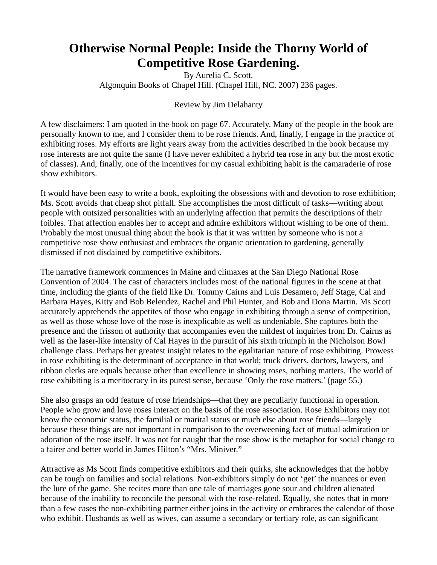## **Otherwise Normal People: Inside the Thorny World of Competitive Rose Gardening.**

By Aurelia C. Scott. Algonquin Books of Chapel Hill. (Chapel Hill, NC. 2007) 236 pages.

Review by Jim Delahanty

A few disclaimers: I am quoted in the book on page 67. Accurately. Many of the people in the book are personally known to me, and I consider them to be rose friends. And, finally, I engage in the practice of exhibiting roses. My efforts are light years away from the activities described in the book because my rose interests are not quite the same (I have never exhibited a hybrid tea rose in any but the most exotic of classes). And, finally, one of the incentives for my casual exhibiting habit is the camaraderie of rose show exhibitors.

It would have been easy to write a book, exploiting the obsessions with and devotion to rose exhibition; Ms. Scott avoids that cheap shot pitfall. She accomplishes the most difficult of tasks—writing about people with outsized personalities with an underlying affection that permits the descriptions of their foibles. That affection enables her to accept and admire exhibitors without wishing to be one of them. Probably the most unusual thing about the book is that it was written by someone who is not a competitive rose show enthusiast and embraces the organic orientation to gardening, generally dismissed if not disdained by competitive exhibitors.

The narrative framework commences in Maine and climaxes at the San Diego National Rose Convention of 2004. The cast of characters includes most of the national figures in the scene at that time, including the giants of the field like Dr. Tommy Cairns and Luis Desamero, Jeff Stage, Cal and Barbara Hayes, Kitty and Bob Belendez, Rachel and Phil Hunter, and Bob and Dona Martin. Ms Scott accurately apprehends the appetites of those who engage in exhibiting through a sense of competition, as well as those whose love of the rose is inexplicable as well as undeniable. She captures both the presence and the frisson of authority that accompanies even the mildest of inquiries from Dr. Cairns as well as the laser-like intensity of Cal Hayes in the pursuit of his sixth triumph in the Nicholson Bowl challenge class. Perhaps her greatest insight relates to the egalitarian nature of rose exhibiting. Prowess in rose exhibiting is the determinant of acceptance in that world; truck drivers, doctors, lawyers, and ribbon clerks are equals because other than excellence in showing roses, nothing matters. The world of rose exhibiting is a meritocracy in its purest sense, because 'Only the rose matters.' (page 55.)

She also grasps an odd feature of rose friendships—that they are peculiarly functional in operation. People who grow and love roses interact on the basis of the rose association. Rose Exhibitors may not know the economic status, the familial or marital status or much else about rose friends—largely because these things are not important in comparison to the overweening fact of mutual admiration or adoration of the rose itself. It was not for naught that the rose show is the metaphor for social change to a fairer and better world in James Hilton's "Mrs. Miniver."

Attractive as Ms Scott finds competitive exhibitors and their quirks, she acknowledges that the hobby can be tough on families and social relations. Non-exhibitors simply do not 'get' the nuances or even the lure of the game. She recites more than one tale of marriages gone sour and children alienated because of the inability to reconcile the personal with the rose-related. Equally, she notes that in more than a few cases the non-exhibiting partner either joins in the activity or embraces the calendar of those who exhibit. Husbands as well as wives, can assume a secondary or tertiary role, as can significant